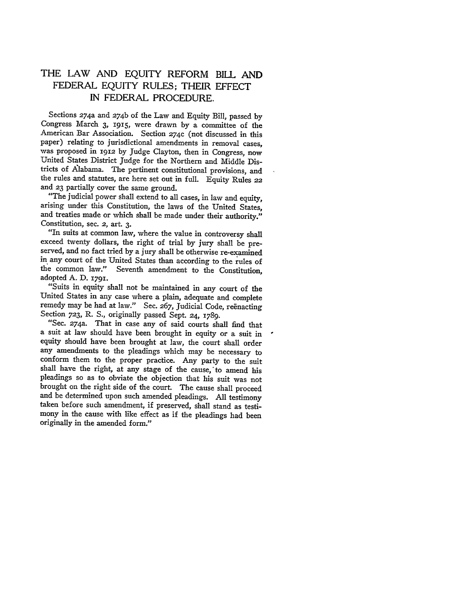## THE LAW AND EQUITY REFORM BILL **AND** FEDERAL EQUITY RULES; THEIR EFFECT IN FEDERAL PROCEDURE.

Sections 274a and 274b of the Law and Equity Bill, passed by Congress March 3, 1915, were drawn by a committee of the American Bar Association. Section *274c* (not discussed in this paper) relating to jurisdictional amendments in removal cases, was proposed in **1912** by judge Clayton, then in Congress, now United States District Judge for the Northern and Middle Districts of Alabama. The pertinent constitutional provisions, and the rules and statutes, are here set out in full. Equity Rules *22* and *23* partially cover the same ground.

"The judicial power shall extend to all cases, in law and equity, arising under this Constitution, the laws of the United States, and treaties made or which shall be made under their authority." Constitution, sec. *2,* art. 3.

"In suits at common law, where the value in controversy shall exceed twenty dollars, the right of trial by jury shall be preserved, and no fact tried by a jury shall be otherwise re-examined in any court of the United States than according to the rules of Seventh amendment to the Constitution, adopted A. **D.** *i79i.*

"Suits in equity shall not be maintained in any court of the United States in any case where a plain, adequate and complete remedy may be had at law." Sec. 267, judicial Code, reenacting Section *723,* R. S., originally passed Sept. *24,* 1789.

"Sec. 274a. That in case any of said courts shall find that a suit at law should have been brought in equity or a suit in equity should have been brought at law, the court shall order any amendments to the pleadings which may be necessary to conform them to the proper practice. Any party to the suit shall have the right, at any stage of the cause, "to amend his pleadings so as to obviate the objection that his suit was not brought on the right side of the court. The cause shall proceed and be determined upon such amended pleadings. All testimony taken before such amendment, if preserved, shall stand as testimony in the cause with like effect as if the pleadings had been originally in the amended form."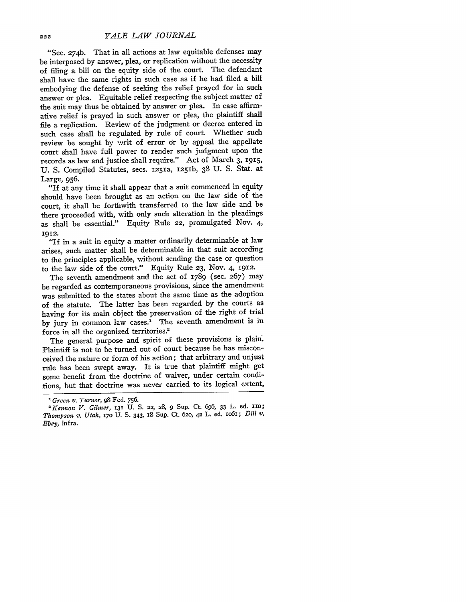"Sec. 274b. That in all actions at law equitable defenses may be interposed **by** answer, plea, or replication without the necessity of filing a bill on the equity side of the court. The defendant shall have the same rights in such case as if he had filed a bill embodying the defense of seeking the relief prayed for in such answer or plea. Equitable relief respecting the subject matter of the suit may thus be obtained **by** answer or plea. In case affirmative relief is prayed in such answer or plea, the plaintiff shall file a replication. Review of the judgment or decree entered in such case shall be regulated **by** rule of court. Whether such review be sought **by** writ of error *dr* **by** appeal the appellate court shall have full power to render such judgment upon the records as law and justice shall require." Act of March 3, **1915, U. S.** Compiled Statutes, secs. 125ia, 125ib, 38 **U. S.** Stat. at Large, **956.**

"If at any time it shall appear that a suit commenced in equity should have been brought as an action on the law side of the court, it shall be forthwith transferred to the law side and be there proceeded with, with only such alteration in the pleadings as shall be essential." Equity Rule 22, promulgated Nov. 4, **1912.**

"If in a suit in equity a matter ordinarily determinable at law arises, such matter shall be determinable in that suit according to the principles applicable, without sending the case or question to the law side of the court." Equity Rule *23,* Nov. 4, 1912.

The seventh amendment and the act of 1789 (sec. 267) may be regarded as contemporaneous provisions, since the amendment was submitted to the states about the same time as the adoption of the statute. The latter has been regarded by the courts as having for its main object the preservation of the right of trial by jury in common law cases.<sup>1</sup> The seventh amendment is in force in all the organized territories.2

The general purpose and spirit of these provisions is plain'. Plaintiff is not to be turned out of court because he has misconceived the nature or form of his action; that arbitrary and unjust rule has been swept away. It is true that plaintiff might get some benefit from the doctrine of waiver, under certain conditions, but that doctrine was never carried to its logical extent,

*<sup>&#</sup>x27; Green v. Turner, 98* Fed. 756.

*<sup>2</sup>Kennon V. Gilmer,* 131 **U. S.** 22, **28,** *9* Sup. Ct. 696, **33** L. ed. iiO; *Thompson v. Utah,* **170 U. S.** 343, 18 Sup. Ct. 62o, **42** L. ed. io61; *Dill v. Ebey,* infra.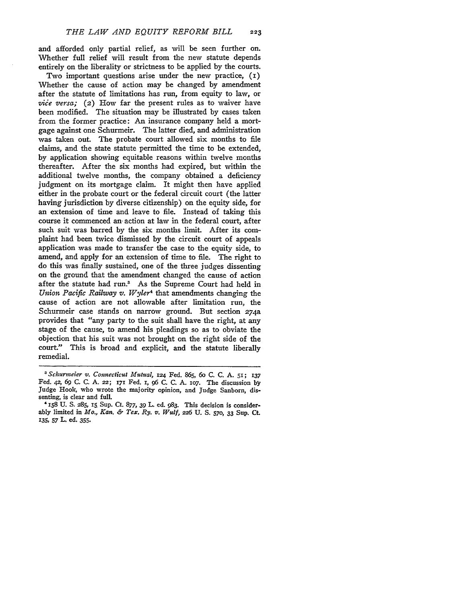and afforded only partial relief, as will be seen further on. Whether full relief will result from the new statute depends entirely on the liberality or strictness to be applied by the courts.

Two important questions arise under the new practice, **(i)** Whether the cause of action may be changed by amendment after the statute of limitations has run, from equity to law, or  $vice versa;$  (2) How far the present rules as to waiver have been modified. The situation may be illustrated by cases taken from the former practice: An insurance company held a mortgage against one Schurmeir. The latter died, and administration was taken out. The probate court allowed six months to file claims, and the state statute permitted the time to be extended, by application showing equitable reasons within twelve months thereafter. After the six months had expired, but within the additional twelve months, the company obtained a deficiency judgment on its mortgage claim. It might then have applied either in the probate court or the federal circuit court (the latter having jurisdiction by diverse citizenship) on the equity side, for an extension of time and leave to file. Instead of taking this course it commenced an action at law in the federal court, after such suit was barred by the six months limit. After its complaint had been twice dismissed by the circuit court of appeals application was made to transfer the case to the equity side, to amend, and apply for an extension of time to file. The right to do this was finally sustained, one of the three judges dissenting on the ground that the amendment changed the cause of action after the statute had run.' As the Supreme Court had held in *Union Pacific Railway v. Wyler'* that amendments changing the cause of action are not allowable after limitation run, the Schurmeir case stands on narrow ground. But section 274a provides that "any party to the suit shall have the right, at any stage of the cause, to amend his pleadings so as to obviate the objection that his suit was not brought on the right side of the court." This is broad and explicit, and the statute liberally remedial.

*Schurmeier v. Connecticut Mutual,* 124 Fed. 865, 6o **C. C. A. 51; 37** Fed. *42, 69* **C. C. A.** 22; **171** Fed. 1, **96 C. C. A.** io7. The discussion by Judge Hook, who wrote the majority opinion, and Judge Sanborn, dissenting, is clear and full.<br> **a i**<sub>58</sub> U. S. *285*, *I*S Sup. Ct. 877, 39 L. ed. 983. This decision is consider-

ably limited in *Mo., Kan. & Tex. Ry. v. Wulf,* **226** U. S. **570, 33** Sup. Ct. r35, **57** L. ed. **355.**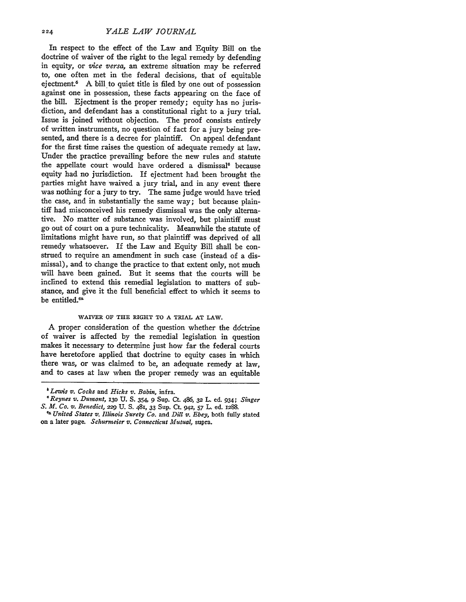In respect to the effect of the Law and Equity Bill on the doctrine of waiver of the right to the legal remedy by defending in equity, or *vice versa,* an extreme situation may be referred to, one often met in the federal decisions, that of equitable ejectment.<sup>5</sup> A bill to quiet title is filed by one out of possession against one in possession, these facts appearing on the face of the bill. Ejectment is the proper remedy; equity has no jurisdiction, and defendant has a constitutional right to a jury trial. Issue is joined without objection. The proof consists entirely of written instruments, no question of fact for a jury being presented, and there is a decree for plaintiff. On appeal defendant for the first time raises the question of adequate remedy at law. Under the practice prevailing before the new rules and statute the appellate court would have ordered a dismissal<sup>6</sup> because equity had no jurisdiction. If ejectment had been brought the parties might have waived a jury trial, and in any event there was nothing for a jury to try. The same judge would have tried the case, and in substantially the same way; but because plaintiff had misconceived his remedy dismissal was the only alternative. No matter of substance was involved, but plaintiff must go out of court on a pure technicality. Meanwhile the statute of limitations might have run, so that plaintiff was deprived of all remedy whatsoever. If the Law and Equity Bill shall be construed to require an amendment in such case (instead of a dismissal), and to change the practice to that extent only, not much will have been gained. But it seems that the courts will be inclined to extend this remedial legislation to matters of substance, and give it the full beneficial effect to which it seems to be entitled.<sup>6a</sup>

## WAIVER **OF THE RIGHT TO A TRIAL AT** LAW.

A proper consideration of the question whether the ddctrine of waiver is affected by the remedial legislation in question makes it necessary to determine just how far the federal courts have heretofore applied that doctrine to equity cases in which there was, or was claimed to be, an adequate remedy at law, and to cases at law when the proper remedy was an equitable

*<sup>6</sup>Lewis v. Cocks* and *Hicks v. Babin,* infra.

*<sup>&</sup>quot; Reynes v. Dumont,* **130 U. S.** 354, 9 Sup. Ct. 486, **32** L. ed. 934; *Singer S. M. Co. v. Benedict,* 229 **U. S.** 481, **33** Sup. **Ct.** 942, 57 L. ed. 1288.

*<sup>&#</sup>x27;a United States v. Illinois Surety Co.* and *Dill v. Ebey,* both fully stated on a later page. *Schurmeier v. Connecticut Mutual,* supra.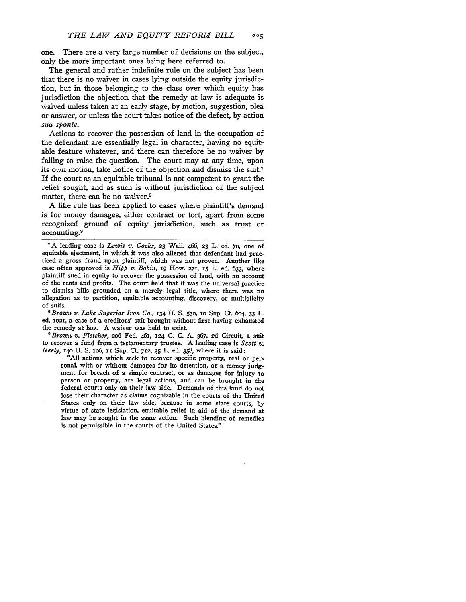one. There are a very large number of decisions on the subject, only the more important ones being here referred to.

The general and rather indefinite rule on the subject has been that there is no waiver in cases lying outside the equity jurisdiction, but in those belonging to the class over which equity has jurisdiction the objection that the remedy at law is adequate is waived unless taken at an early stage, **by** motion, suggestion, plea or answer, or unless the court takes notice of the defect, **by** action *sua sponte.*

Actions to recover the possession of land in the occupation of the defendant are essentially legal in character, having no equitable feature whatever, and there can therefore be no waiver **by** failing to raise the question. The court may at any time, upon its own motion, take notice of the objection and dismiss the suit.7 If the court as an equitable tribunal is not competent to grant the relief sought, and as such is without jurisdiction of the subject matter, there can be no waiver.<sup>8</sup>

**A** like rule has been applied to cases where plaintiff's demand is for money damages, either contract or tort, apart from some recognized ground of equity jurisdiction, such as trust or **accounting.<sup>9</sup>**

*8Brown v. Lake Superior Iron Co.,* **134 U. S. 530, 1o** Sup. Ct. *604,* **33** L. ed. **o2i,** a case of a creditors' suit brought without first having exhausted the remedy at law. **A** waiver was held to exist.

*'Brown v. Fletcher, 2o6* Fed. 46!, **124 C. C. A. 367, 2d** Circuit, a suit to recover a fund from a testamentary trustee. **A** leading case is *Scott v. Neely,* **i4o U. S.** iO6, **ii** Sup. Ct. **712,** 35 L. ed. **358,** where it is said:

**"All** actions which seek to recover specific property, real or personal, with or without damages for its detention, or a money judgment for breach of a simple contract, or as damages for injury to person or property, are legal actions, and can be brought in the federal courts only on their law side. Demands of this kind do not lose their character as claims cognizable in the courts of the United States only on their law side, because in some state courts, **by** virtue of state legislation, equitable relief in aid of the demand at law may be sought in the same action. Such blending of remedies is not permissible in the courts of the United States."

**<sup>&#</sup>x27;A** leading case is *Lewis v. Cocks,* **23** Wall. 466, **23** L. ed. *70,* one of equitable ejectment, in which it was also alleged that defendant had practiced a gross fraud upon plaintiff, which was not proven. Another like case often approved is *Hipp v. Babin, ig* How. **271, 15** L. ed. **633,** where plaintiff sued in equity to recover the possession of land, with an account of the rents and profits. The court held that it was the universal practice to dismiss bills grounded on a merely legal title, where there was no allegation as to partition, equitable accounting, discovery, or multiplicity **of** suits.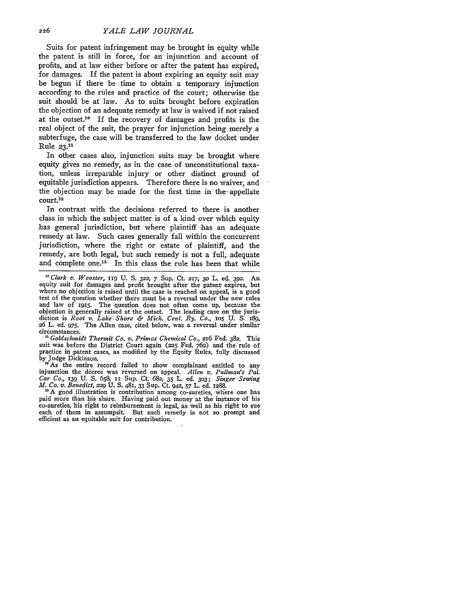Suits for patent infringement may be brought in equity while the patent is still in force, for an injunction and account of profits, and at law either before or after the patent has expired, for damages. If the patent is about expiring an equity suit may be begun if there be time to obtain a temporary injunction according to the rules and practice of the court; otherwise the suit should be at law. As to suits brought before expiration the objection of an adequate remedy at law is waived if not raised at the outset.10 If the recovery of damages and profits is the real object of the suit, the prayer for injunction being merely a subterfuge, the case will be transferred to the law docket under Rule **23.11**

In other cases also, injunction suits may be brought where equity gives no remedy, as in the case of unconstitutional taxation, unless irreparable injury or other distinct ground of equitable jurisdiction appears. Therefore there is no waiver, and the objection may be made for the first time in the- appellate court.<sup>12</sup>

In contrast with the decisions referred to there is another class in which the subject matter is of a kind over which equity has general jurisdiction, but where plaintiff has an adequate remedy at law. Such cases generally fall within the concurrent jurisdiction, where the right or estate of plaintiff, and the remedy, are both legal, but such remedy is not a full, adequate and complete one.<sup>13</sup> In this class the rule has been that while

*' Goldschmidt Thermit Co. V. Primos Chemical Co.,* **216** Fed. 382. This suit was before the District Court again **(225** Fed. 769) and the rule of practice in patent cases, as modified **by** the Equity Rules, fully discussed by Judge Dickinson.<br><sup>12</sup> As the entire record failed to show complainant entitled to any

injunction the decree was reversed on appeal. *Allen v. Pullman's Pal. Car Co.,* 139 **U. S.** 658, *I* Sup. Ct. *682,* 35 L. ed. **303;** *Singer Sewing M. Co. v. Benedict,* 229 **U. S.** 481, 33 Sup. Ct. 942, 57 L. ed. 1288.

<sup>13</sup> A good illustration is contribution among co-sureties, where one has paid more than his share. Having paid out money at the instance of his co-sureties, his right to reimbursement is legal, as well as his right to sue each of them in assumpsit. But such remedy is not so prompt and efficient as an equitable suit for contribution.

*<sup>&</sup>quot;Clark v. Wooster,* iig **U. S. 322,** 7 Sup. Ct. 217, **30** L. ed. 392. An equity suit for damages and profit brought after the patent expires, but where no objection is raised until the case is reached on appeal, is a good test of the question whether there must be a reversal under the new rules and law of 1915. The question does not often come up, because the objection is generally raised at the outset. The leading case on the jurisdiction is *Root v. Lake Shore & Mich. Cent. Ry. Co., 105* **U. S.** 189, **26** L. ed. **975.** The Allen case, cited below, was a reversal under similar circumstances.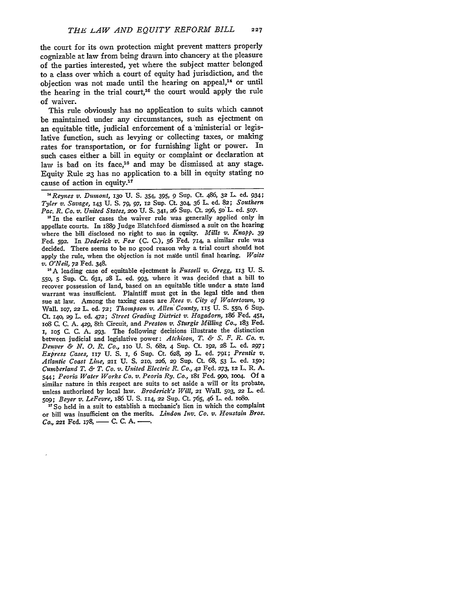the court for its own protection might prevent matters properly cognizable at law from being drawn into chancery at the pleasure of the parties interested, yet where the subject matter belonged to a class over which a court of equity had jurisdiction, and the objection was not made until the hearing on appeal, 14 or until the hearing in the trial court,<sup>15</sup> the court would apply the rule of waiver.

This rule obviously has no application to suits which cannot be maintained under any circumstances, such as ejectment on an equitable title, judicial enforcement of a ministerial or legislative function, such as levying or collecting taxes, or making rates for transportation, or for furnishing light or power. In such cases either a bill in equity or complaint or declaration at law is bad on its face,<sup>16</sup> and may be dismissed at any stage. Equity Rule **23** has no application to. a bill in equity stating no cause of action in equity. $17$ 

<sup>15</sup> In the earlier cases the waiver rule was generally applied only in appellate courts. In 1889 Judge Blatchford dismissed a suit on the hearing where the bill disclosed no right to sue in equity. *Mills v. Knapp.* <sup>39</sup> Fed. **592.** In *Dederick v. Fox* **(C.** C.), **56** Fed. 714, a similar rule was decided. There seems to be no good reason why a trial court should hot apply the rule, when the objection is not made until final hearing. *Waite v. O'Neil,* **72** Fed. 348.

**' A** leading case of equitable ejectment is *Fussell v. Gregg,* **113** U. S. **550,** 5 Sup. Ct. 631, 28 L. ed. **993,** where it was decided that a bill to recover possession of land, based on an equitable title under a state land warrant was insufficient. Plaintiff must get in the legal title and then sue at law. Among the taxing cases are *Rees v. City of Watertown,* **<sup>19</sup>** Wall. **107,** 22 L. ed. **72;** *Thompson v. Allen' County,* 115 **U. S.** 55o, 6 Sup. Ct. **14o,** 29 L. ed. 472; *Street Grading District v. Hagadorn,* 186 Fed. **451,** io8 C. C. A. *429,* 8th Circuit, and *Preston v. Sturgis Milling Co.,* 183 Fed. **i, lo5** C. C. A. **293.** The following decisions illustrate the distinction between judicial and legislative power: *Atchison, T. & S. F. R. Co. v. Denver & IV. 0. R. Co.,* 11o U. **S.** 682, 4 Sup. Ct. 192, 28 L. ed. **297;** *Express Cases,* 117 U. S. **I,** 6 Sup. Ct. 628, 29 L. ed. 791; *Prentis v. Atlantic Coast Line,* 211 U. **S.** 210, 226, 29 Sup. Ct. 68, 53 L. ed. **15o;** *Cumberland T. & T. Co. v. United Electric R. Co., 42* Fed. **273, 12** L. R. A. *544; Peoria Water Works Co. v. Peoria Ry. Co.,* 181 Fed. **99o,** ioo4. **Of** a similar nature in this respect are suits to set aside a will or its probate, unless authorized by local law. *Broderick's Will,* **21** Wall. **503,** 22 L. ed. 5o9; *Beyer v. LeFevre,* 186 U. **S.** 114, **22** Sup. Ct. 765, 46 L. ed. **io8o.**

<sup>17</sup> So held in a suit to establish a mechanic's lien in which the complaint or bill was insufficient on the merits. *Lindon Itiv. Co. v. Houstain Bros. Co.,* **221** Fed. 178, **-** C. C. **A. -.**

*<sup>1</sup> 4 Reynes v. Dumont,* **13o U. S.** 354, 395, 9 Sup. Ct. 486, **32** L. ed. 934; *Tyler v. Savage,* **143 U. S.** 79, 97, 12 Sup. Ct. 304, 36 L. ed. **82;** *Southern Pac. R. Co. v. United States,* 2oo **U. S.** 341, 26 Sup. Ct. 296, 5o L. ed. **507.**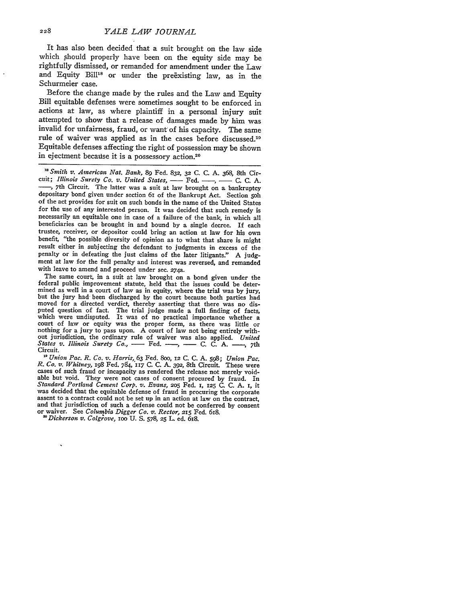It has also been decided that a suit brought on the law side which should properly have been on the equity side may be rightfully dismissed, or remanded for amendment under the Law and Equity Bill<sup>18</sup> or under the preexisting law, as in the Schurmeier case.

Before the change made **by** the rules and the Law and Equity Bill equitable defenses were sometimes sought to be enforced in actions at law, as where plaintiff in a personal injury suit attempted to show that a release of damages made **by** him was invalid for unfairness, fraud, or want of his capacity. The same rule of waiver was applied as in the cases before discussed.<sup>19</sup> Equitable defenses affecting the right of possession may be shown in ejectment because it is a possessory action.<sup>20</sup>

The same court, in a suit at law brought on a bond given under the federal public improvement statute, held that the issues could be determined as well in a court of law as in equity, where the trial was **by** jury, but the jury had been discharged **by** the court because both parties had moved for a directed verdict, thereby asserting that there was no disputed question of fact. The trial judge made a full finding of facts, which were undisputed. It was of no practical importance whether a court of law or equity was the proper form, as there was little or nothing for a jury out jurisdiction, the ordinary rule of waiver was also applied. *United* States v. Illinois Surety Co., **-** Fed. **-** , **-** C. C. A. **-** , 7th Circuit.

*<sup>19</sup>Union Pac. R. Co. v. Harris, 63* Fed. 8oo, **12 C. C. A. 598;** *Union Pac. R. Co. v. Whitney,* **198** Fed. 784 , **117 C. C. A. 392,** 8th Circuit. These were cases of such fraud or incapacity as rendered the release not merely voidcases of such fraud or incapacity as rendered the release not merely voidable but void. They were not cases of consent procured by fraud. In Standard Portland Cement Corp. v. Evans, 205 Fed. 1, 125 C. C. A. 1, it was decided that the equitable defense of fraud in procuring the corporate assent to a contract could not be set up in an action at law on the contract, and that jurisdiction of such a defense could not be conferred by consent or waiver. See *Columbia Digger Co. v. Rector*, 215 Fed. 618.

*" Dickerson v. Colg ove,* **IOO U. S. 578, 25** L. ed. 618.

*<sup>8</sup>Smith v. American Nat. Bank,* **89** Fed. **8,32, 32 C. C. A. 368,** 8th Circuit; *Illinois Surety Co. v. United States*, **-** Fed. **-**, **-** C. C. A. **-** , 7th Circuit. The latter was a suit at law brought on a bankruptcy depositary bond given under section 61 of the Bankrupt Act. Section **5oh** of the act provides for suit on such bonds in the name of the United States for the use of any interested person. It was decided that such remedy is necessarily an equitable one in case of a failure of the bank, in which all beneficiaries can be brought in and bound **by** a single decree. If each benefit, "the possible diversity of opinion as to what that share is might result either in subjecting the defendant to judgments in excess of the penalty or in defeating the just claims of the later litigants." **A** judgment at law for the full penalty and interest was xeversed, and remanded with leave to amend and proceed under sec. 274a.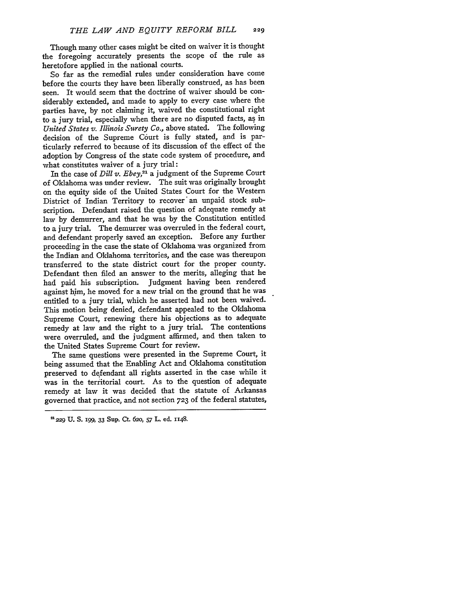Though many other cases might be cited on waiver it is thought the foregoing accurately presents the scope of the rule as heretofore applied in the national courts.

So far as the remedial rules under consideration have come before the courts they have been liberally construed, as has been seen. It would seem that the doctrine of waiver should be considerably extended, and made to apply to every case where the parties have, **by** not claiming it, waived the constitutional right to a jury trial, especially when there are no disputed facts, as in *United States v. Illinois Surety Co.,* above stated. The following decision of the Supreme Court is fully stated, and is particularly referred to because of its discussion of the effect of the adoption **by** Congress of the state code system of procedure, and what constitutes waiver of a jury trial:

In the case of *Dill v. Ebey*,<sup>21</sup> a judgment of the Supreme Court of Oklahoma was under review. The suit was originally brought on the equity side of the United States Court for the Western District of Indian Territory to recover an unpaid stock subscription. Defendant raised the question of adequate remedy at law **by** demurrer, and that he was **by** the Constitution entitled to a jury trial. The demurrer was overruled in the federal court, and defendant properly saved an exception. Before any further proceeding in the case the state of Oklahoma was organized from the Indian and Oklahoma territories, and the case was thereupon transferred to the state district court for the proper county. Defendant then filed an answer to the merits, alleging that he had paid his subscription. Judgment having been rendered against him, he moved for a new trial on the ground that he was entitled to a jury trial, which he asserted had not been waived. This motion being denied, defendant appealed to the Oklahoma Supreme Court, renewing there his objections as to adequate remedy at law and the right to a jury trial. The contentions were overruled, and the judgment affirmed, and then taken to the United States Supreme Court for review.

The same questions were presented in the Supreme Court, it being assumed that the Enabling Act and Oklahoma constitution preserved to defendant all rights asserted in the case while it was in the territorial court. As to the question of adequate remedy at law it was decided that the statute of Arkansas governed that practice, and not section **723** of the federal statutes,

**<sup>=</sup> 229 U. S.** *i99,* **33** Sup. Ct. **620, 57** L. ed. 1148.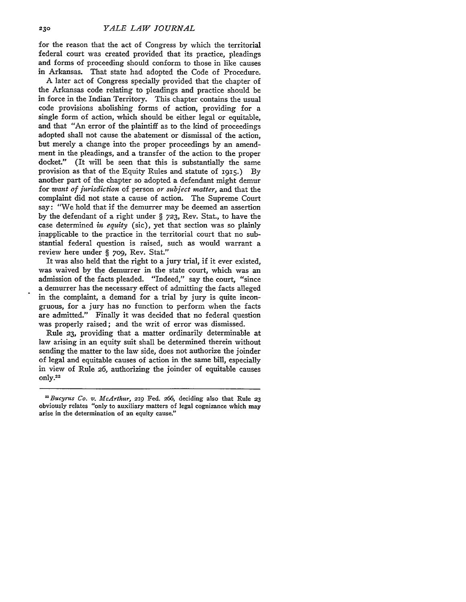for the reason that the act of Congress by which the territorial federal court was created provided that its practice, pleadings and forms of proceeding should conform to those in like causes in Arkansas. That state had adopted the Code of Procedure.

A later act of Congress specially provided that the chapter of the Arkansas code relating to pleadings and practice should be in force in the Indian Territory. This chapter contains the usual code provisions abolishing forms of action, providing for a single form of action, which should be either legal or equitable, and that *"An* error of the plaintiff as to the kind of proceedings adopted shall not cause the abatement or dismissal of the action, but merely a change into the proper proceedings by an amendment in the pleadings, and a transfer of the action to the proper docket." (It will be seen that this is substantially the same provision as that of the Equity Rules and statute of **1915.)** By another part of the chapter so adopted a defendant might demur for *want of jurisdiction* of person *or subject matter,* and that the complaint did not state a cause of action. The Supreme Court say: "We hold that if the demurrer may be deemed an assertion by the defendant of a right under § **723,** Rev. Stat., to have the case determined *in equity* (sic), yet that section was so plainly inapplicable to the practice in the territorial court that no substantial federal question is raised, such as would warrant a review here under § **709,** Rev. Stat."

It was also held that the right to a jury trial, if it ever existed, was waived by the demurrer in the state court, which was an admission of the facts pleaded. "Indeed," say the court, "since a demurrer has the necessary effect of admitting the facts alleged in the complaint, a demand for a trial by jury is quite incongruous, for a jury has no function to perform when the facts are admitted." Finally it was decided that no federal question was properly raised; and the writ of error was dismissed.

Rule **23,** providing that a matter ordinarily determinable at law arising in an equity suit shall be determined therein without sending the matter to the law side, does not authorize the joinder of legal and equitable causes of action in the same bill, especially in view of Rule 26, authorizing the joinder of equitable causes only.<sup>22</sup>

*<sup>&#</sup>x27;Bucyrus Co. v. McArthur, 219* Fed. 266, deciding also that Rule **23** obviously relates "only to auxiliary matters of legal cognizance which may arise in the determination of an equity cause."